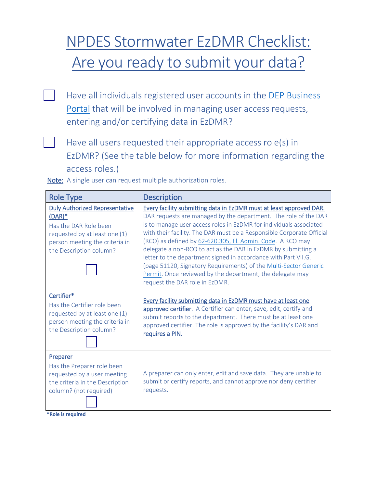## Are you ready to submit your data? NPDES Stormwater EzDMR Checklist:

**THave all individuals registered user accounts in the DEP Business** [Portal](http://www.fldepportal.com/) that will be involved in managing user access requests, entering and/or certifying data in EzDMR?

 $\Box$  Have all users requested their appropriate access role(s) in EzDMR? (See the table below for more information regarding the access roles.)

| <b>Role Type</b>                                                                                                                                                          | <b>Description</b>                                                                                                                                                                                                                                                                                                                                                                                                                                                                                                                                                                                                                                        |
|---------------------------------------------------------------------------------------------------------------------------------------------------------------------------|-----------------------------------------------------------------------------------------------------------------------------------------------------------------------------------------------------------------------------------------------------------------------------------------------------------------------------------------------------------------------------------------------------------------------------------------------------------------------------------------------------------------------------------------------------------------------------------------------------------------------------------------------------------|
| <b>Duly Authorized Representative</b><br>$(DAR)^*$<br>Has the DAR Role been<br>requested by at least one (1)<br>person meeting the criteria in<br>the Description column? | Every facility submitting data in EzDMR must at least approved DAR.<br>DAR requests are managed by the department. The role of the DAR<br>is to manage user access roles in EzDMR for individuals associated<br>with their facility. The DAR must be a Responsible Corporate Official<br>(RCO) as defined by 62-620.305, Fl. Admin. Code. A RCO may<br>delegate a non-RCO to act as the DAR in EzDMR by submitting a<br>letter to the department signed in accordance with Part VII.G.<br>(page 51120, Signatory Requirements) of the Multi-Sector Generic<br>Permit. Once reviewed by the department, the delegate may<br>request the DAR role in EzDMR. |
| Certifier*<br>Has the Certifier role been<br>requested by at least one (1)<br>person meeting the criteria in<br>the Description column?                                   | Every facility submitting data in EzDMR must have at least one<br>approved certifier. A Certifier can enter, save, edit, certify and<br>submit reports to the department. There must be at least one<br>approved certifier. The role is approved by the facility's DAR and<br>requires a PIN.                                                                                                                                                                                                                                                                                                                                                             |
| Preparer<br>Has the Preparer role been<br>requested by a user meeting<br>the criteria in the Description<br>column? (not required)<br>*Role is required                   | A preparer can only enter, edit and save data. They are unable to<br>submit or certify reports, and cannot approve nor deny certifier<br>requests.                                                                                                                                                                                                                                                                                                                                                                                                                                                                                                        |

Note: A single user can request multiple authorization roles.